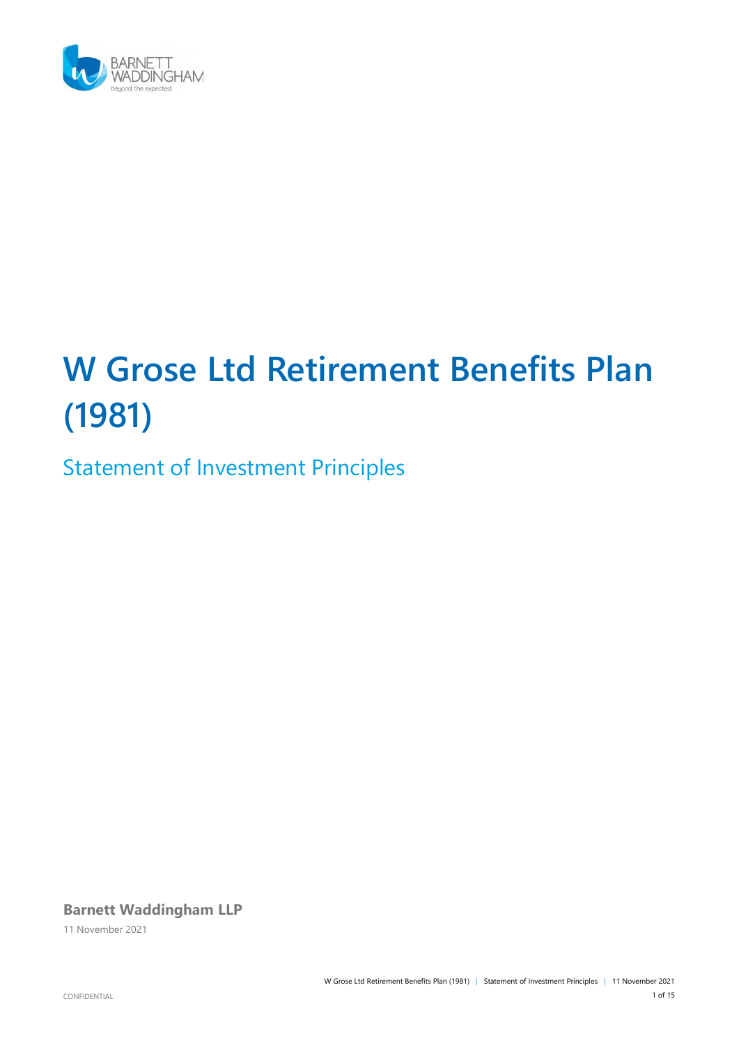

# **W Grose Ltd Retirement Benefits Plan (1981)**

Statement of Investment Principles

**Barnett Waddingham LLP**

11 November 2021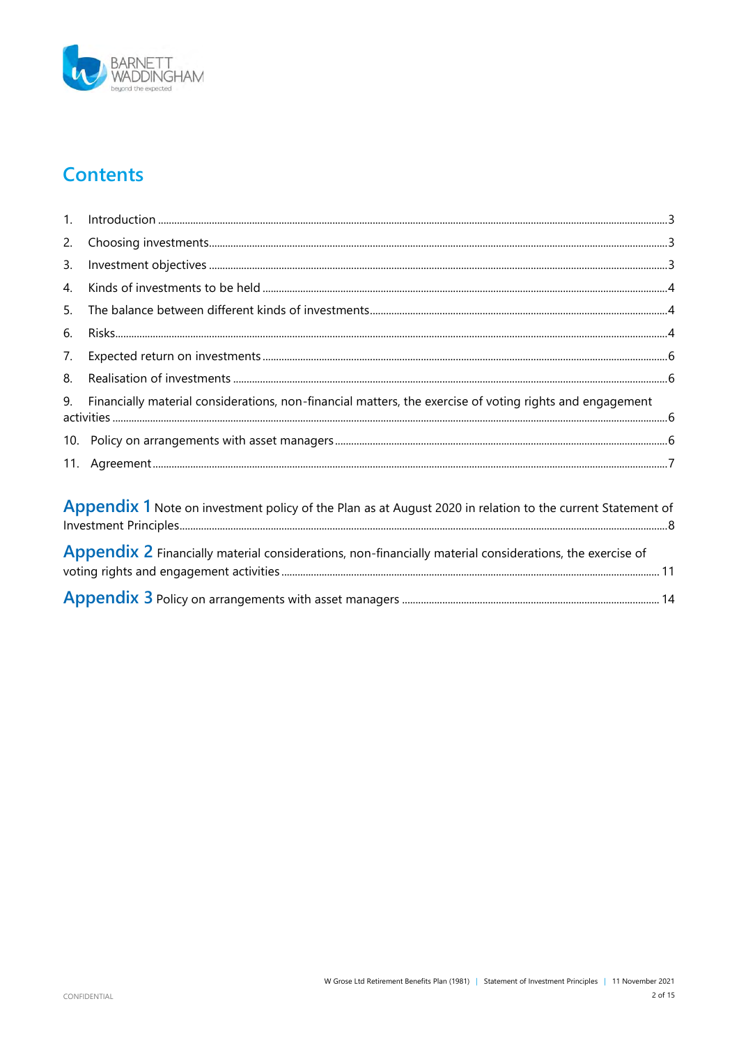

### **Contents**

| 1.                                                                                                         |                                                                                                          |  |  |  |  |
|------------------------------------------------------------------------------------------------------------|----------------------------------------------------------------------------------------------------------|--|--|--|--|
| 2.                                                                                                         |                                                                                                          |  |  |  |  |
| 3.                                                                                                         |                                                                                                          |  |  |  |  |
| 4.                                                                                                         |                                                                                                          |  |  |  |  |
| 5.                                                                                                         |                                                                                                          |  |  |  |  |
| 6.                                                                                                         |                                                                                                          |  |  |  |  |
| 7.                                                                                                         |                                                                                                          |  |  |  |  |
| 8.                                                                                                         |                                                                                                          |  |  |  |  |
| 9.                                                                                                         | Financially material considerations, non-financial matters, the exercise of voting rights and engagement |  |  |  |  |
|                                                                                                            |                                                                                                          |  |  |  |  |
| 11.                                                                                                        |                                                                                                          |  |  |  |  |
| Appendix 1 Note on investment policy of the Plan as at August 2020 in relation to the current Statement of |                                                                                                          |  |  |  |  |
|                                                                                                            | Appendix 2 Financially material considerations, non-financially material considerations, the exercise of |  |  |  |  |

<span id="page-1-0"></span>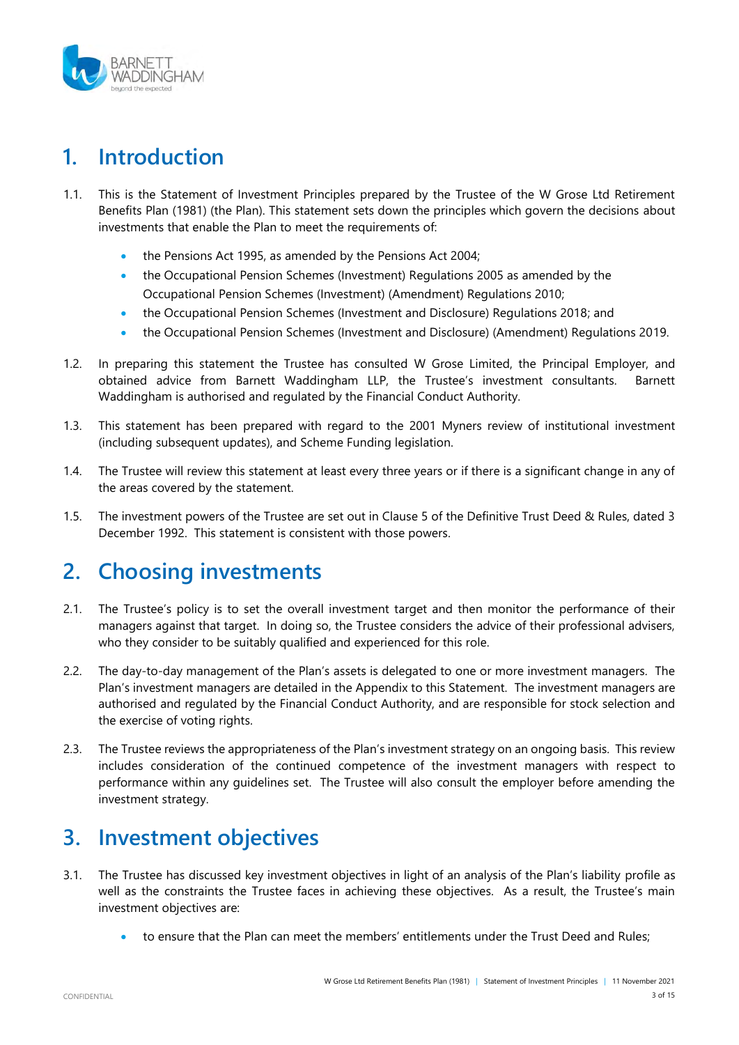

### **1. Introduction**

- 1.1. This is the Statement of Investment Principles prepared by the Trustee of the W Grose Ltd Retirement Benefits Plan (1981) (the Plan). This statement sets down the principles which govern the decisions about investments that enable the Plan to meet the requirements of:
	- the Pensions Act 1995, as amended by the Pensions Act 2004;
	- the Occupational Pension Schemes (Investment) Regulations 2005 as amended by the Occupational Pension Schemes (Investment) (Amendment) Regulations 2010;
	- the Occupational Pension Schemes (Investment and Disclosure) Regulations 2018; and
	- the Occupational Pension Schemes (Investment and Disclosure) (Amendment) Regulations 2019.
- 1.2. In preparing this statement the Trustee has consulted W Grose Limited, the Principal Employer, and obtained advice from Barnett Waddingham LLP, the Trustee's investment consultants. Barnett Waddingham is authorised and regulated by the Financial Conduct Authority.
- 1.3. This statement has been prepared with regard to the 2001 Myners review of institutional investment (including subsequent updates), and Scheme Funding legislation.
- 1.4. The Trustee will review this statement at least every three years or if there is a significant change in any of the areas covered by the statement.
- 1.5. The investment powers of the Trustee are set out in Clause 5 of the Definitive Trust Deed & Rules, dated 3 December 1992. This statement is consistent with those powers.

### <span id="page-2-0"></span>**2. Choosing investments**

- 2.1. The Trustee's policy is to set the overall investment target and then monitor the performance of their managers against that target. In doing so, the Trustee considers the advice of their professional advisers, who they consider to be suitably qualified and experienced for this role.
- 2.2. The day-to-day management of the Plan's assets is delegated to one or more investment managers. The Plan's investment managers are detailed in the Appendix to this Statement. The investment managers are authorised and regulated by the Financial Conduct Authority, and are responsible for stock selection and the exercise of voting rights.
- 2.3. The Trustee reviews the appropriateness of the Plan's investment strategy on an ongoing basis. This review includes consideration of the continued competence of the investment managers with respect to performance within any guidelines set. The Trustee will also consult the employer before amending the investment strategy.

### <span id="page-2-1"></span>**3. Investment objectives**

- 3.1. The Trustee has discussed key investment objectives in light of an analysis of the Plan's liability profile as well as the constraints the Trustee faces in achieving these objectives. As a result, the Trustee's main investment objectives are:
	- to ensure that the Plan can meet the members' entitlements under the Trust Deed and Rules;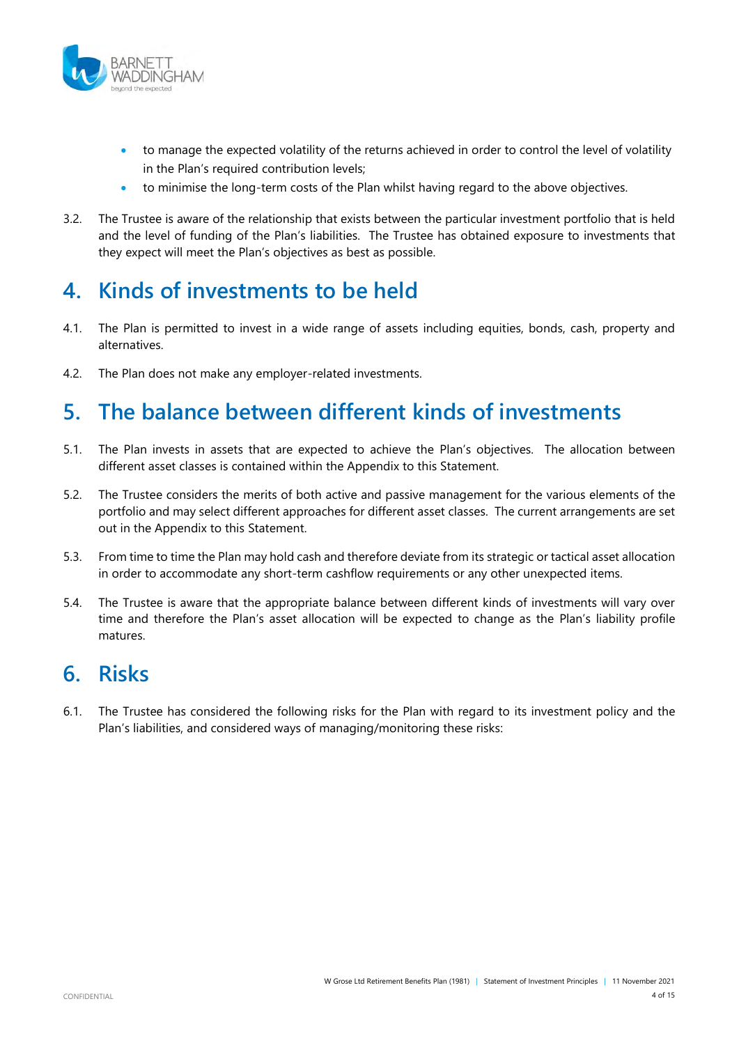

- to manage the expected volatility of the returns achieved in order to control the level of volatility in the Plan's required contribution levels;
- to minimise the long-term costs of the Plan whilst having regard to the above objectives.
- 3.2. The Trustee is aware of the relationship that exists between the particular investment portfolio that is held and the level of funding of the Plan's liabilities. The Trustee has obtained exposure to investments that they expect will meet the Plan's objectives as best as possible.

#### <span id="page-3-0"></span>**4. Kinds of investments to be held**

- 4.1. The Plan is permitted to invest in a wide range of assets including equities, bonds, cash, property and alternatives.
- 4.2. The Plan does not make any employer-related investments.

### <span id="page-3-1"></span>**5. The balance between different kinds of investments**

- 5.1. The Plan invests in assets that are expected to achieve the Plan's objectives. The allocation between different asset classes is contained within the Appendix to this Statement.
- 5.2. The Trustee considers the merits of both active and passive management for the various elements of the portfolio and may select different approaches for different asset classes. The current arrangements are set out in the Appendix to this Statement.
- 5.3. From time to time the Plan may hold cash and therefore deviate from its strategic or tactical asset allocation in order to accommodate any short-term cashflow requirements or any other unexpected items.
- 5.4. The Trustee is aware that the appropriate balance between different kinds of investments will vary over time and therefore the Plan's asset allocation will be expected to change as the Plan's liability profile matures.

#### <span id="page-3-2"></span>**6. Risks**

6.1. The Trustee has considered the following risks for the Plan with regard to its investment policy and the Plan's liabilities, and considered ways of managing/monitoring these risks: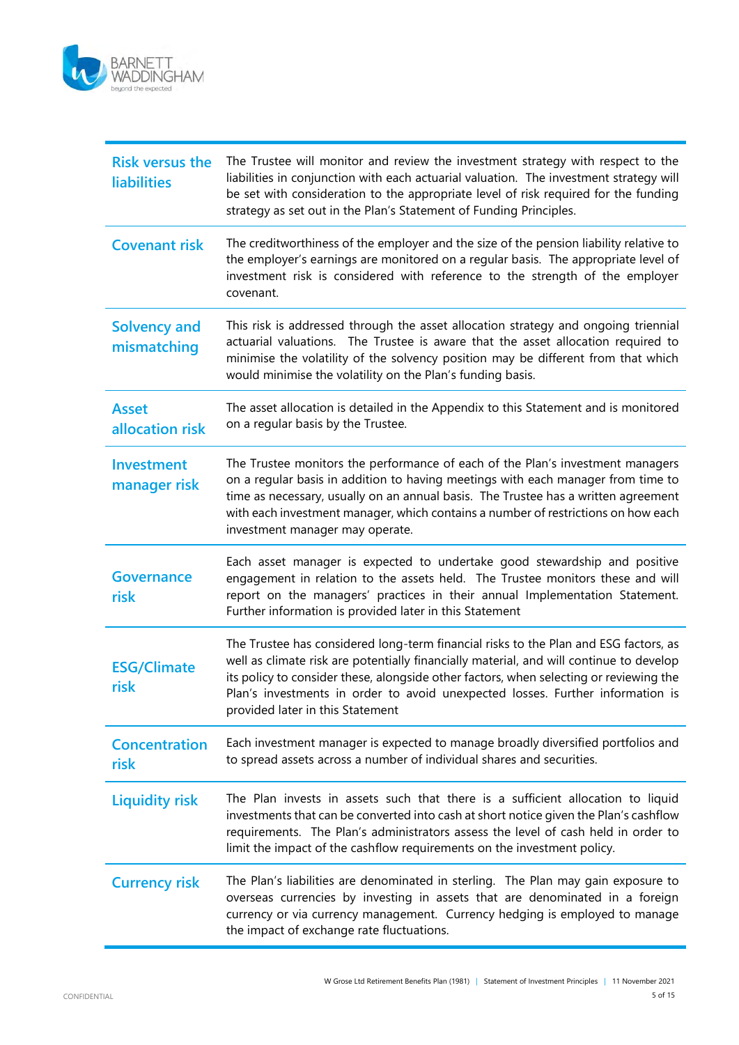

| <b>Risk versus the</b><br><b>liabilities</b> | The Trustee will monitor and review the investment strategy with respect to the<br>liabilities in conjunction with each actuarial valuation. The investment strategy will<br>be set with consideration to the appropriate level of risk required for the funding<br>strategy as set out in the Plan's Statement of Funding Principles.                                                          |  |  |  |
|----------------------------------------------|-------------------------------------------------------------------------------------------------------------------------------------------------------------------------------------------------------------------------------------------------------------------------------------------------------------------------------------------------------------------------------------------------|--|--|--|
| <b>Covenant risk</b>                         | The creditworthiness of the employer and the size of the pension liability relative to<br>the employer's earnings are monitored on a regular basis. The appropriate level of<br>investment risk is considered with reference to the strength of the employer<br>covenant.                                                                                                                       |  |  |  |
| <b>Solvency and</b><br>mismatching           | This risk is addressed through the asset allocation strategy and ongoing triennial<br>actuarial valuations. The Trustee is aware that the asset allocation required to<br>minimise the volatility of the solvency position may be different from that which<br>would minimise the volatility on the Plan's funding basis.                                                                       |  |  |  |
| <b>Asset</b><br>allocation risk              | The asset allocation is detailed in the Appendix to this Statement and is monitored<br>on a regular basis by the Trustee.                                                                                                                                                                                                                                                                       |  |  |  |
| <b>Investment</b><br>manager risk            | The Trustee monitors the performance of each of the Plan's investment managers<br>on a regular basis in addition to having meetings with each manager from time to<br>time as necessary, usually on an annual basis. The Trustee has a written agreement<br>with each investment manager, which contains a number of restrictions on how each<br>investment manager may operate.                |  |  |  |
| <b>Governance</b><br>risk                    | Each asset manager is expected to undertake good stewardship and positive<br>engagement in relation to the assets held. The Trustee monitors these and will<br>report on the managers' practices in their annual Implementation Statement.<br>Further information is provided later in this Statement                                                                                           |  |  |  |
| <b>ESG/Climate</b><br>risk                   | The Trustee has considered long-term financial risks to the Plan and ESG factors, as<br>well as climate risk are potentially financially material, and will continue to develop<br>its policy to consider these, alongside other factors, when selecting or reviewing the<br>Plan's investments in order to avoid unexpected losses. Further information is<br>provided later in this Statement |  |  |  |
| <b>Concentration</b><br>risk                 | Each investment manager is expected to manage broadly diversified portfolios and<br>to spread assets across a number of individual shares and securities.                                                                                                                                                                                                                                       |  |  |  |
| <b>Liquidity risk</b>                        | The Plan invests in assets such that there is a sufficient allocation to liquid<br>investments that can be converted into cash at short notice given the Plan's cashflow<br>requirements. The Plan's administrators assess the level of cash held in order to<br>limit the impact of the cashflow requirements on the investment policy.                                                        |  |  |  |
| <b>Currency risk</b>                         | The Plan's liabilities are denominated in sterling. The Plan may gain exposure to<br>overseas currencies by investing in assets that are denominated in a foreign<br>currency or via currency management. Currency hedging is employed to manage<br>the impact of exchange rate fluctuations.                                                                                                   |  |  |  |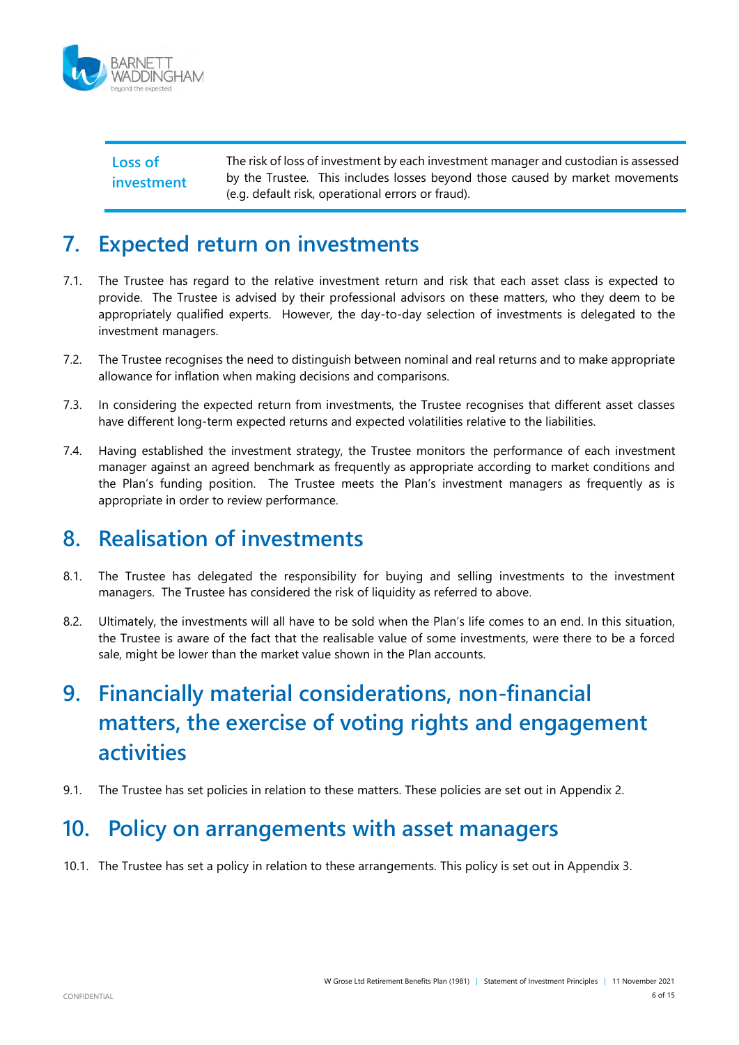

**Loss of investment** The risk of loss of investment by each investment manager and custodian is assessed by the Trustee. This includes losses beyond those caused by market movements (e.g. default risk, operational errors or fraud).

### <span id="page-5-0"></span>**7. Expected return on investments**

- 7.1. The Trustee has regard to the relative investment return and risk that each asset class is expected to provide. The Trustee is advised by their professional advisors on these matters, who they deem to be appropriately qualified experts. However, the day-to-day selection of investments is delegated to the investment managers.
- 7.2. The Trustee recognises the need to distinguish between nominal and real returns and to make appropriate allowance for inflation when making decisions and comparisons.
- 7.3. In considering the expected return from investments, the Trustee recognises that different asset classes have different long-term expected returns and expected volatilities relative to the liabilities.
- 7.4. Having established the investment strategy, the Trustee monitors the performance of each investment manager against an agreed benchmark as frequently as appropriate according to market conditions and the Plan's funding position. The Trustee meets the Plan's investment managers as frequently as is appropriate in order to review performance.

#### <span id="page-5-1"></span>**8. Realisation of investments**

- 8.1. The Trustee has delegated the responsibility for buying and selling investments to the investment managers. The Trustee has considered the risk of liquidity as referred to above.
- 8.2. Ultimately, the investments will all have to be sold when the Plan's life comes to an end. In this situation, the Trustee is aware of the fact that the realisable value of some investments, were there to be a forced sale, might be lower than the market value shown in the Plan accounts.

# <span id="page-5-2"></span>**9. Financially material considerations, non-financial matters, the exercise of voting rights and engagement activities**

9.1. The Trustee has set policies in relation to these matters. These policies are set out in Appendix 2.

#### <span id="page-5-3"></span>**10. Policy on arrangements with asset managers**

10.1. The Trustee has set a policy in relation to these arrangements. This policy is set out in Appendix 3.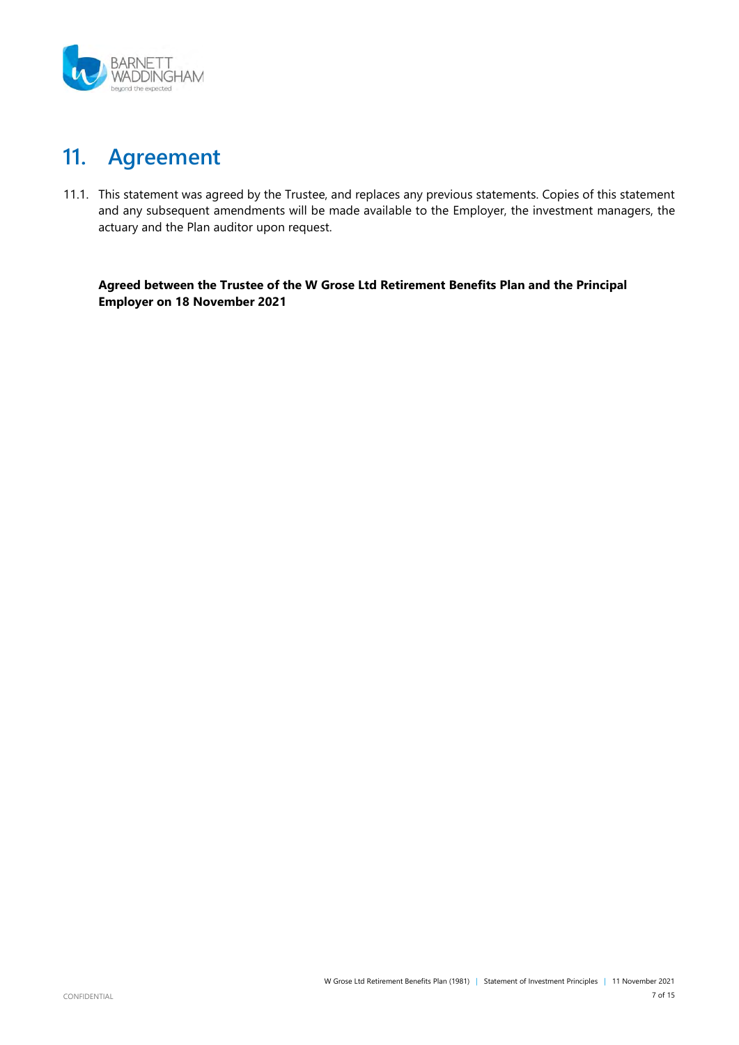

### <span id="page-6-0"></span>**11. Agreement**

11.1. This statement was agreed by the Trustee, and replaces any previous statements. Copies of this statement and any subsequent amendments will be made available to the Employer, the investment managers, the actuary and the Plan auditor upon request.

**Agreed between the Trustee of the W Grose Ltd Retirement Benefits Plan and the Principal Employer on 18 November 2021**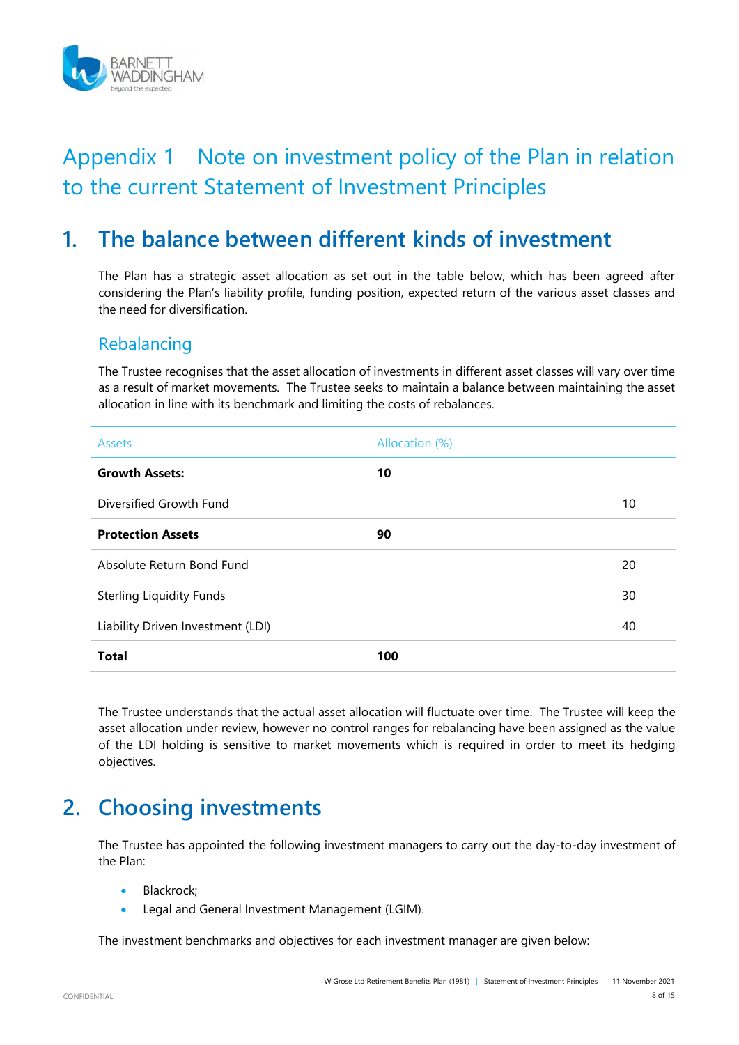

# Appendix 1 Note on investment policy of the Plan in relation to the current Statement of Investment Principles

### **1. The balance between different kinds of investment**

The Plan has a strategic asset allocation as set out in the table below, which has been agreed after considering the Plan's liability profile, funding position, expected return of the various asset classes and the need for diversification.

#### Rebalancing

The Trustee recognises that the asset allocation of investments in different asset classes will vary over time as a result of market movements. The Trustee seeks to maintain a balance between maintaining the asset allocation in line with its benchmark and limiting the costs of rebalances.

| <b>Assets</b>                     | Allocation (%) |    |
|-----------------------------------|----------------|----|
| <b>Growth Assets:</b>             | 10             |    |
| Diversified Growth Fund           |                | 10 |
| <b>Protection Assets</b>          | 90             |    |
| Absolute Return Bond Fund         |                | 20 |
| <b>Sterling Liquidity Funds</b>   |                | 30 |
| Liability Driven Investment (LDI) |                | 40 |
| <b>Total</b>                      | 100            |    |

The Trustee understands that the actual asset allocation will fluctuate over time. The Trustee will keep the asset allocation under review, however no control ranges for rebalancing have been assigned as the value of the LDI holding is sensitive to market movements which is required in order to meet its hedging objectives.

### **2. Choosing investments**

The Trustee has appointed the following investment managers to carry out the day-to-day investment of the Plan:

- Blackrock;
- **•** Legal and General Investment Management (LGIM).

The investment benchmarks and objectives for each investment manager are given below: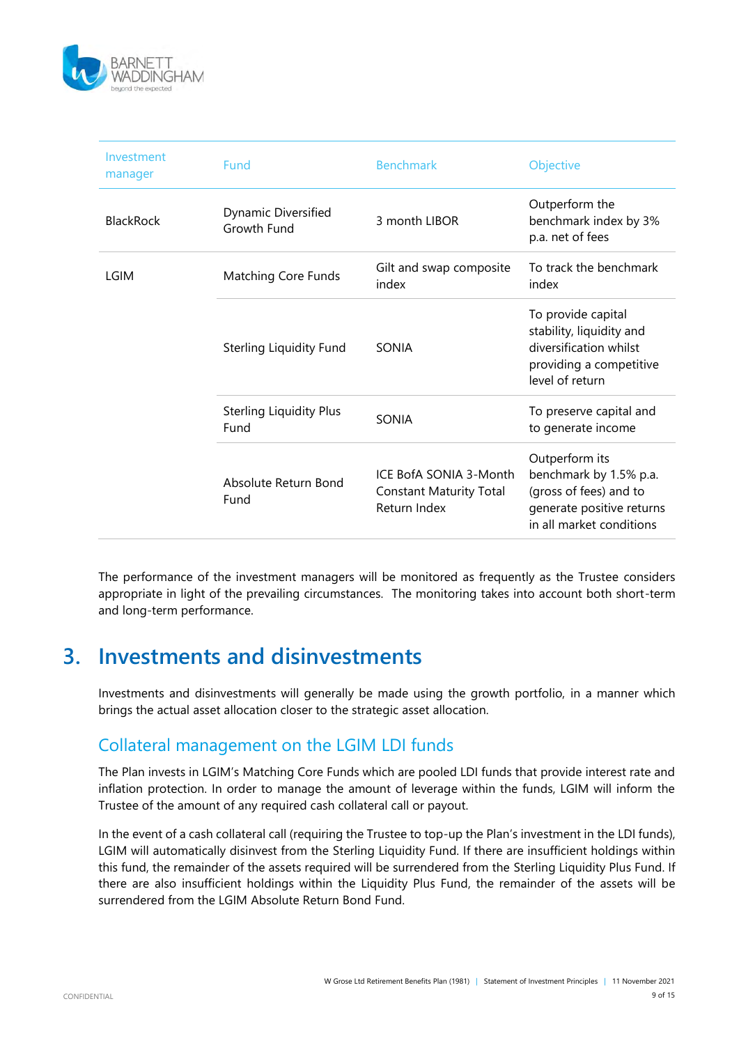

| Investment<br>manager | Fund                                   | <b>Benchmark</b>                                                         | Objective                                                                                                                   |
|-----------------------|----------------------------------------|--------------------------------------------------------------------------|-----------------------------------------------------------------------------------------------------------------------------|
| <b>BlackRock</b>      | Dynamic Diversified<br>Growth Fund     | 3 month LIBOR                                                            | Outperform the<br>benchmark index by 3%<br>p.a. net of fees                                                                 |
| LGIM                  | <b>Matching Core Funds</b>             | Gilt and swap composite<br>index                                         | To track the benchmark<br>index                                                                                             |
|                       | Sterling Liquidity Fund                | SONIA                                                                    | To provide capital<br>stability, liquidity and<br>diversification whilst<br>providing a competitive<br>level of return      |
|                       | <b>Sterling Liquidity Plus</b><br>Fund | SONIA                                                                    | To preserve capital and<br>to generate income                                                                               |
|                       | Absolute Return Bond<br>Fund           | ICE BofA SONIA 3-Month<br><b>Constant Maturity Total</b><br>Return Index | Outperform its<br>benchmark by 1.5% p.a.<br>(gross of fees) and to<br>generate positive returns<br>in all market conditions |

The performance of the investment managers will be monitored as frequently as the Trustee considers appropriate in light of the prevailing circumstances. The monitoring takes into account both short-term and long-term performance.

#### **3. Investments and disinvestments**

Investments and disinvestments will generally be made using the growth portfolio, in a manner which brings the actual asset allocation closer to the strategic asset allocation.

#### Collateral management on the LGIM LDI funds

The Plan invests in LGIM's Matching Core Funds which are pooled LDI funds that provide interest rate and inflation protection. In order to manage the amount of leverage within the funds, LGIM will inform the Trustee of the amount of any required cash collateral call or payout.

In the event of a cash collateral call (requiring the Trustee to top-up the Plan's investment in the LDI funds), LGIM will automatically disinvest from the Sterling Liquidity Fund. If there are insufficient holdings within this fund, the remainder of the assets required will be surrendered from the Sterling Liquidity Plus Fund. If there are also insufficient holdings within the Liquidity Plus Fund, the remainder of the assets will be surrendered from the LGIM Absolute Return Bond Fund.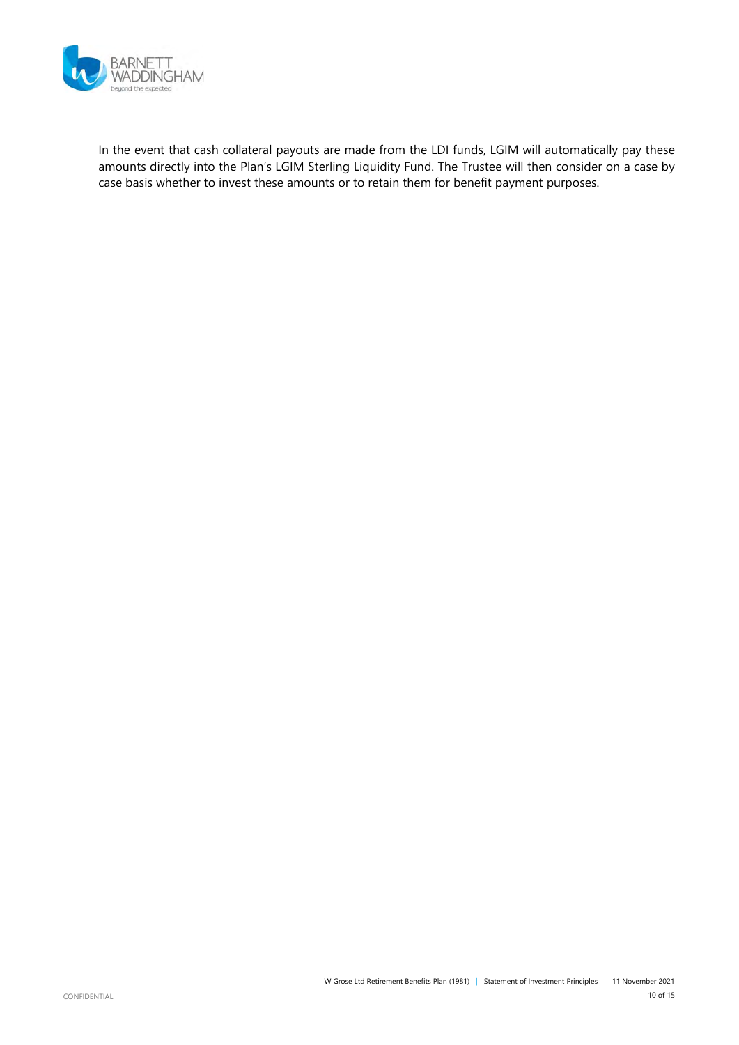

In the event that cash collateral payouts are made from the LDI funds, LGIM will automatically pay these amounts directly into the Plan's LGIM Sterling Liquidity Fund. The Trustee will then consider on a case by case basis whether to invest these amounts or to retain them for benefit payment purposes.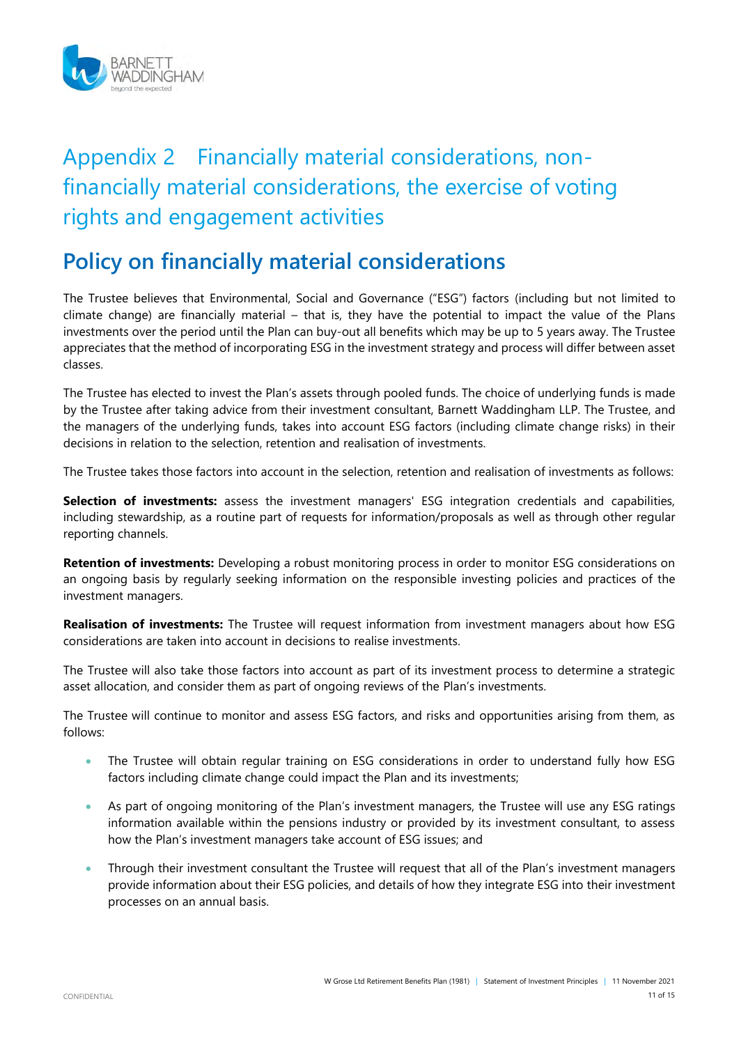

# Appendix 2 Financially material considerations, nonfinancially material considerations, the exercise of voting rights and engagement activities

# **Policy on financially material considerations**

The Trustee believes that Environmental, Social and Governance ("ESG") factors (including but not limited to climate change) are financially material – that is, they have the potential to impact the value of the Plans investments over the period until the Plan can buy-out all benefits which may be up to 5 years away. The Trustee appreciates that the method of incorporating ESG in the investment strategy and process will differ between asset classes.

The Trustee has elected to invest the Plan's assets through pooled funds. The choice of underlying funds is made by the Trustee after taking advice from their investment consultant, Barnett Waddingham LLP. The Trustee, and the managers of the underlying funds, takes into account ESG factors (including climate change risks) in their decisions in relation to the selection, retention and realisation of investments.

The Trustee takes those factors into account in the selection, retention and realisation of investments as follows:

**Selection of investments:** assess the investment managers' ESG integration credentials and capabilities, including stewardship, as a routine part of requests for information/proposals as well as through other regular reporting channels.

**Retention of investments:** Developing a robust monitoring process in order to monitor ESG considerations on an ongoing basis by regularly seeking information on the responsible investing policies and practices of the investment managers.

**Realisation of investments:** The Trustee will request information from investment managers about how ESG considerations are taken into account in decisions to realise investments.

The Trustee will also take those factors into account as part of its investment process to determine a strategic asset allocation, and consider them as part of ongoing reviews of the Plan's investments.

The Trustee will continue to monitor and assess ESG factors, and risks and opportunities arising from them, as follows:

- The Trustee will obtain regular training on ESG considerations in order to understand fully how ESG factors including climate change could impact the Plan and its investments;
- As part of ongoing monitoring of the Plan's investment managers, the Trustee will use any ESG ratings information available within the pensions industry or provided by its investment consultant, to assess how the Plan's investment managers take account of ESG issues; and
- Through their investment consultant the Trustee will request that all of the Plan's investment managers provide information about their ESG policies, and details of how they integrate ESG into their investment processes on an annual basis.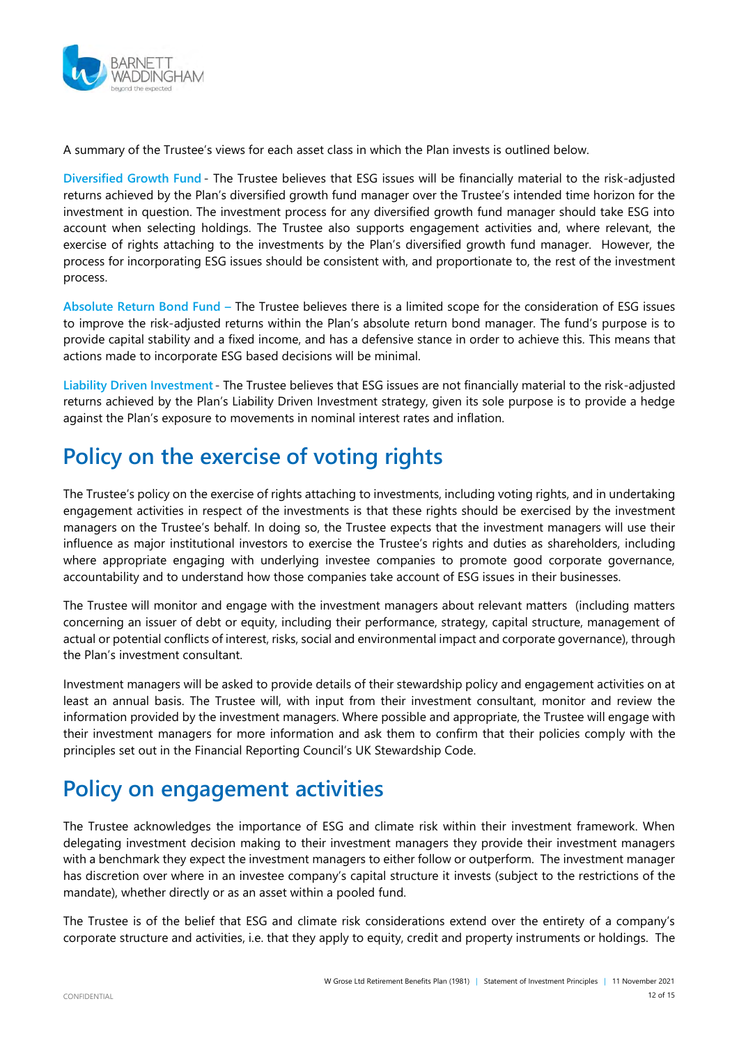

A summary of the Trustee's views for each asset class in which the Plan invests is outlined below.

**Diversified Growth Fund** - The Trustee believes that ESG issues will be financially material to the risk-adjusted returns achieved by the Plan's diversified growth fund manager over the Trustee's intended time horizon for the investment in question. The investment process for any diversified growth fund manager should take ESG into account when selecting holdings. The Trustee also supports engagement activities and, where relevant, the exercise of rights attaching to the investments by the Plan's diversified growth fund manager. However, the process for incorporating ESG issues should be consistent with, and proportionate to, the rest of the investment process.

**Absolute Return Bond Fund –** The Trustee believes there is a limited scope for the consideration of ESG issues to improve the risk-adjusted returns within the Plan's absolute return bond manager. The fund's purpose is to provide capital stability and a fixed income, and has a defensive stance in order to achieve this. This means that actions made to incorporate ESG based decisions will be minimal.

**Liability Driven Investment** - The Trustee believes that ESG issues are not financially material to the risk-adjusted returns achieved by the Plan's Liability Driven Investment strategy, given its sole purpose is to provide a hedge against the Plan's exposure to movements in nominal interest rates and inflation.

# **Policy on the exercise of voting rights**

The Trustee's policy on the exercise of rights attaching to investments, including voting rights, and in undertaking engagement activities in respect of the investments is that these rights should be exercised by the investment managers on the Trustee's behalf. In doing so, the Trustee expects that the investment managers will use their influence as major institutional investors to exercise the Trustee's rights and duties as shareholders, including where appropriate engaging with underlying investee companies to promote good corporate governance, accountability and to understand how those companies take account of ESG issues in their businesses.

The Trustee will monitor and engage with the investment managers about relevant matters (including matters concerning an issuer of debt or equity, including their performance, strategy, capital structure, management of actual or potential conflicts of interest, risks, social and environmental impact and corporate governance), through the Plan's investment consultant.

Investment managers will be asked to provide details of their stewardship policy and engagement activities on at least an annual basis. The Trustee will, with input from their investment consultant, monitor and review the information provided by the investment managers. Where possible and appropriate, the Trustee will engage with their investment managers for more information and ask them to confirm that their policies comply with the principles set out in the Financial Reporting Council's UK Stewardship Code.

# **Policy on engagement activities**

The Trustee acknowledges the importance of ESG and climate risk within their investment framework. When delegating investment decision making to their investment managers they provide their investment managers with a benchmark they expect the investment managers to either follow or outperform. The investment manager has discretion over where in an investee company's capital structure it invests (subject to the restrictions of the mandate), whether directly or as an asset within a pooled fund.

The Trustee is of the belief that ESG and climate risk considerations extend over the entirety of a company's corporate structure and activities, i.e. that they apply to equity, credit and property instruments or holdings. The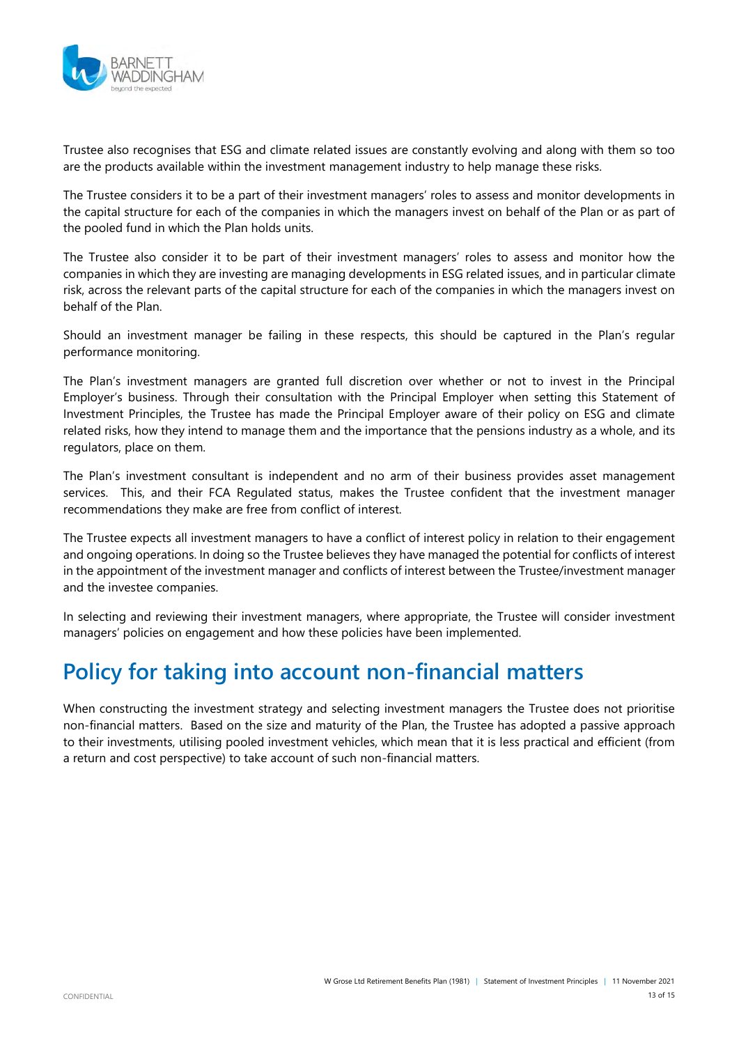

Trustee also recognises that ESG and climate related issues are constantly evolving and along with them so too are the products available within the investment management industry to help manage these risks.

The Trustee considers it to be a part of their investment managers' roles to assess and monitor developments in the capital structure for each of the companies in which the managers invest on behalf of the Plan or as part of the pooled fund in which the Plan holds units.

The Trustee also consider it to be part of their investment managers' roles to assess and monitor how the companies in which they are investing are managing developments in ESG related issues, and in particular climate risk, across the relevant parts of the capital structure for each of the companies in which the managers invest on behalf of the Plan.

Should an investment manager be failing in these respects, this should be captured in the Plan's regular performance monitoring.

The Plan's investment managers are granted full discretion over whether or not to invest in the Principal Employer's business. Through their consultation with the Principal Employer when setting this Statement of Investment Principles, the Trustee has made the Principal Employer aware of their policy on ESG and climate related risks, how they intend to manage them and the importance that the pensions industry as a whole, and its regulators, place on them.

The Plan's investment consultant is independent and no arm of their business provides asset management services. This, and their FCA Regulated status, makes the Trustee confident that the investment manager recommendations they make are free from conflict of interest.

The Trustee expects all investment managers to have a conflict of interest policy in relation to their engagement and ongoing operations. In doing so the Trustee believes they have managed the potential for conflicts of interest in the appointment of the investment manager and conflicts of interest between the Trustee/investment manager and the investee companies.

In selecting and reviewing their investment managers, where appropriate, the Trustee will consider investment managers' policies on engagement and how these policies have been implemented.

### **Policy for taking into account non-financial matters**

When constructing the investment strategy and selecting investment managers the Trustee does not prioritise non-financial matters. Based on the size and maturity of the Plan, the Trustee has adopted a passive approach to their investments, utilising pooled investment vehicles, which mean that it is less practical and efficient (from a return and cost perspective) to take account of such non-financial matters.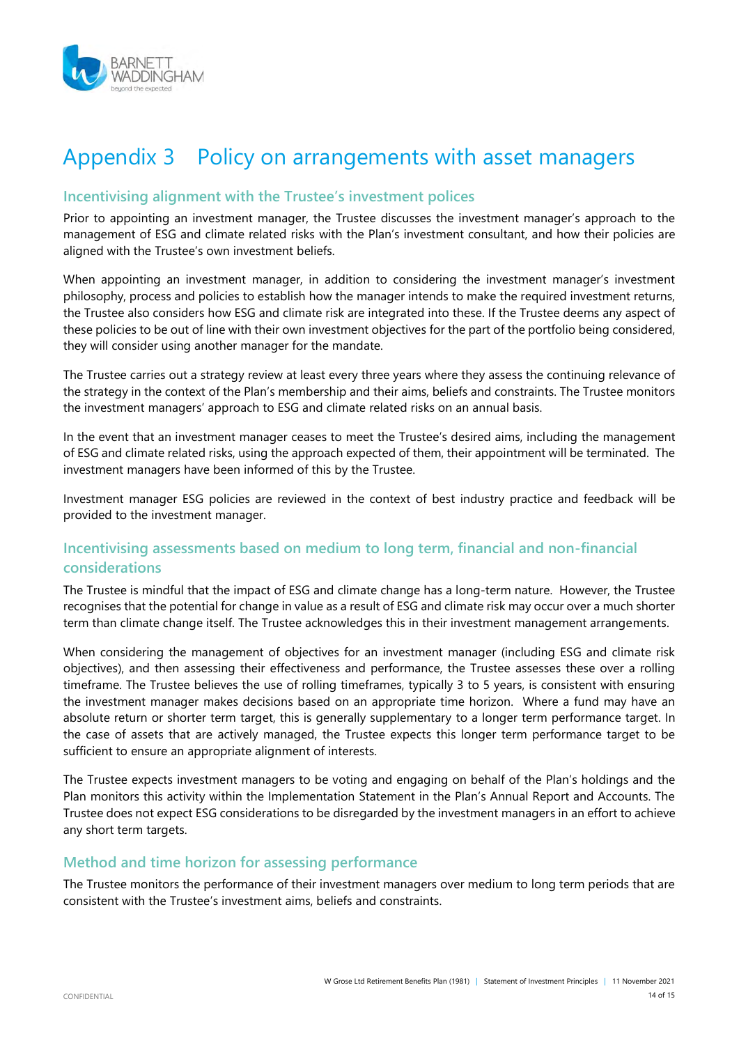

### Appendix 3 Policy on arrangements with asset managers

#### **Incentivising alignment with the Trustee's investment polices**

Prior to appointing an investment manager, the Trustee discusses the investment manager's approach to the management of ESG and climate related risks with the Plan's investment consultant, and how their policies are aligned with the Trustee's own investment beliefs.

When appointing an investment manager, in addition to considering the investment manager's investment philosophy, process and policies to establish how the manager intends to make the required investment returns, the Trustee also considers how ESG and climate risk are integrated into these. If the Trustee deems any aspect of these policies to be out of line with their own investment objectives for the part of the portfolio being considered, they will consider using another manager for the mandate.

The Trustee carries out a strategy review at least every three years where they assess the continuing relevance of the strategy in the context of the Plan's membership and their aims, beliefs and constraints. The Trustee monitors the investment managers' approach to ESG and climate related risks on an annual basis.

In the event that an investment manager ceases to meet the Trustee's desired aims, including the management of ESG and climate related risks, using the approach expected of them, their appointment will be terminated. The investment managers have been informed of this by the Trustee.

Investment manager ESG policies are reviewed in the context of best industry practice and feedback will be provided to the investment manager.

#### **Incentivising assessments based on medium to long term, financial and non-financial considerations**

The Trustee is mindful that the impact of ESG and climate change has a long-term nature. However, the Trustee recognises that the potential for change in value as a result of ESG and climate risk may occur over a much shorter term than climate change itself. The Trustee acknowledges this in their investment management arrangements.

When considering the management of objectives for an investment manager (including ESG and climate risk objectives), and then assessing their effectiveness and performance, the Trustee assesses these over a rolling timeframe. The Trustee believes the use of rolling timeframes, typically 3 to 5 years, is consistent with ensuring the investment manager makes decisions based on an appropriate time horizon. Where a fund may have an absolute return or shorter term target, this is generally supplementary to a longer term performance target. In the case of assets that are actively managed, the Trustee expects this longer term performance target to be sufficient to ensure an appropriate alignment of interests.

The Trustee expects investment managers to be voting and engaging on behalf of the Plan's holdings and the Plan monitors this activity within the Implementation Statement in the Plan's Annual Report and Accounts. The Trustee does not expect ESG considerations to be disregarded by the investment managers in an effort to achieve any short term targets.

#### **Method and time horizon for assessing performance**

The Trustee monitors the performance of their investment managers over medium to long term periods that are consistent with the Trustee's investment aims, beliefs and constraints.